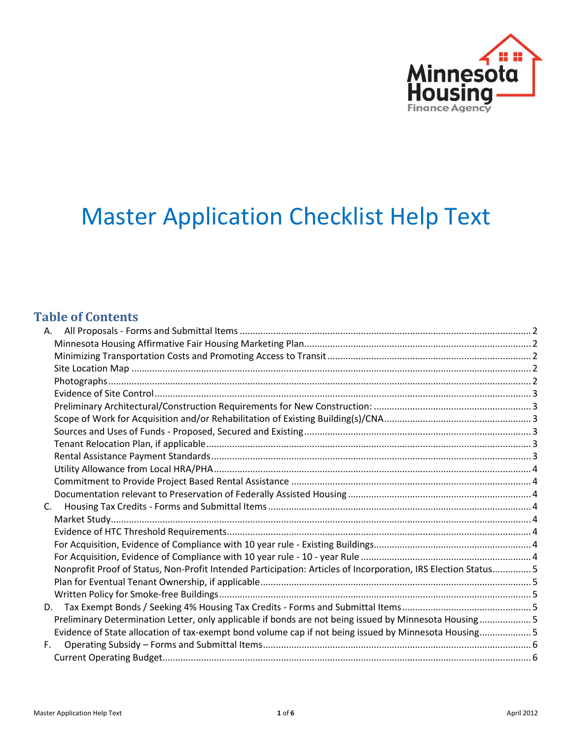

# Master Application Checklist Help Text

# **Table of Contents**

| A.                                                                                                            |  |
|---------------------------------------------------------------------------------------------------------------|--|
|                                                                                                               |  |
|                                                                                                               |  |
|                                                                                                               |  |
|                                                                                                               |  |
|                                                                                                               |  |
|                                                                                                               |  |
|                                                                                                               |  |
|                                                                                                               |  |
|                                                                                                               |  |
|                                                                                                               |  |
|                                                                                                               |  |
|                                                                                                               |  |
|                                                                                                               |  |
| C.                                                                                                            |  |
|                                                                                                               |  |
|                                                                                                               |  |
|                                                                                                               |  |
|                                                                                                               |  |
| Nonprofit Proof of Status, Non-Profit Intended Participation: Articles of Incorporation, IRS Election Status5 |  |
|                                                                                                               |  |
|                                                                                                               |  |
| D.                                                                                                            |  |
| Preliminary Determination Letter, only applicable if bonds are not being issued by Minnesota Housing5         |  |
| Evidence of State allocation of tax-exempt bond volume cap if not being issued by Minnesota Housing5          |  |
| $F_{\rm{H}}$                                                                                                  |  |
|                                                                                                               |  |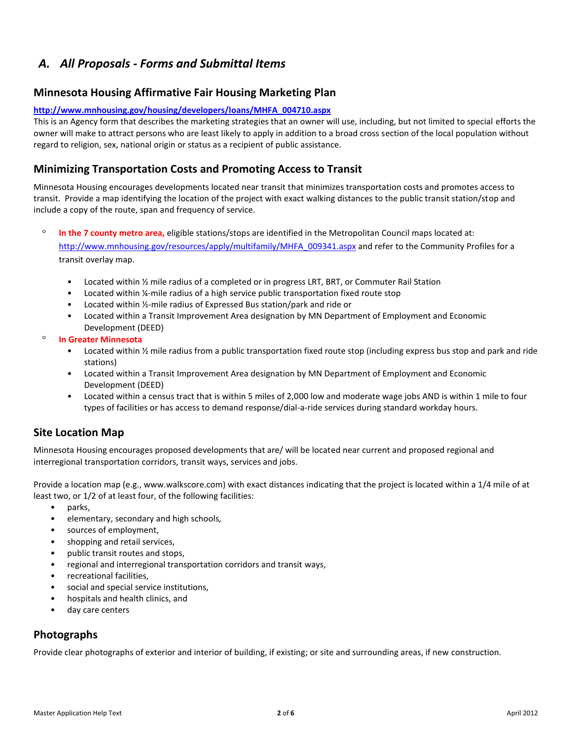# <span id="page-1-0"></span>*A. All Proposals - Forms and Submittal Items*

#### <span id="page-1-1"></span>**Minnesota Housing Affirmative Fair Housing Marketing Plan**

#### **[http://www.mnhousing.gov/housing/developers/loans/MHFA\\_004710.aspx](http://www.mnhousing.gov/housing/developers/loans/MHFA_004710.aspx)**

This is an Agency form that describes the marketing strategies that an owner will use, including, but not limited to special efforts the owner will make to attract persons who are least likely to apply in addition to a broad cross section of the local population without regard to religion, sex, national origin or status as a recipient of public assistance.

#### <span id="page-1-2"></span>**Minimizing Transportation Costs and Promoting Access to Transit**

Minnesota Housing encourages developments located near transit that minimizes transportation costs and promotes access to transit. Provide a map identifying the location of the project with exact walking distances to the public transit station/stop and include a copy of the route, span and frequency of service.

 $\circ$ **In the 7 county metro area,** eligible stations/stops are identified in the Metropolitan Council maps located at: [http://www.mnhousing.gov/resources/apply/multifamily/MHFA\\_009341.aspx](http://www.mnhousing.gov/resources/apply/multifamily/MHFA_009341.aspx) and refer to the Community Profiles for a transit overlay map.

- Located within ½ mile radius of a completed or in progress LRT, BRT, or Commuter Rail Station
- Located within ¼-mile radius of a high service public transportation fixed route stop
- Located within ½-mile radius of Expressed Bus station/park and ride or
- Located within a Transit Improvement Area designation by MN Department of Employment and Economic Development (DEED)
- $\circ$ **In Greater Minnesota** 
	- Located within ½ mile radius from a public transportation fixed route stop (including express bus stop and park and ride stations)
	- Located within a Transit Improvement Area designation by MN Department of Employment and Economic Development (DEED)
	- Located within a census tract that is within 5 miles of 2,000 low and moderate wage jobs AND is within 1 mile to four types of facilities or has access to demand response/dial-a-ride services during standard workday hours.

#### <span id="page-1-3"></span>**Site Location Map**

Minnesota Housing encourages proposed developments that are/ will be located near current and proposed regional and interregional transportation corridors, transit ways, services and jobs.

Provide a location map (e.g., www.walkscore.com) with exact distances indicating that the project is located within a 1/4 mile of at least two, or 1/2 of at least four, of the following facilities:

- parks,
- elementary, secondary and high schools,
- sources of employment,
- shopping and retail services,
- public transit routes and stops,
- regional and interregional transportation corridors and transit ways,
- recreational facilities,
- social and special service institutions,
- hospitals and health clinics, and
- day care centers

#### <span id="page-1-4"></span>**Photographs**

Provide clear photographs of exterior and interior of building, if existing; or site and surrounding areas, if new construction.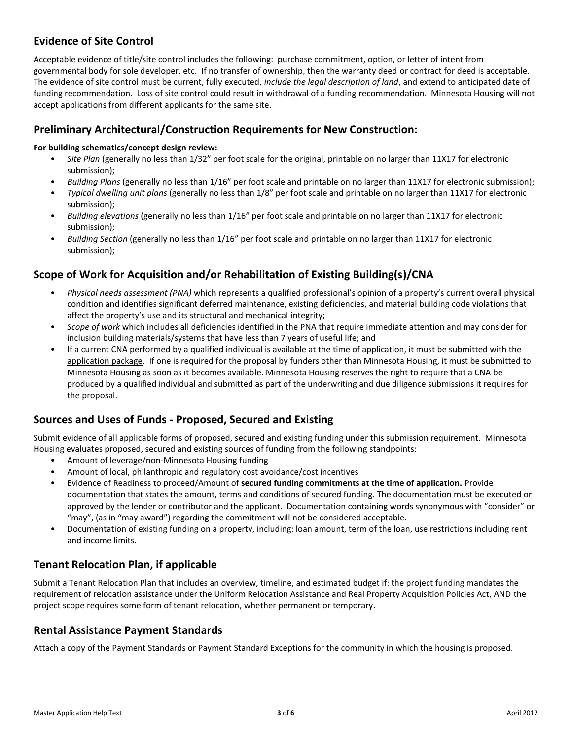# <span id="page-2-0"></span>**Evidence of Site Control**

Acceptable evidence of title/site control includes the following: purchase commitment, option, or letter of intent from governmental body for sole developer, etc. If no transfer of ownership, then the warranty deed or contract for deed is acceptable. The evidence of site control must be current, fully executed, *include the legal description of land*, and extend to anticipated date of funding recommendation. Loss of site control could result in withdrawal of a funding recommendation. Minnesota Housing will not accept applications from different applicants for the same site.

#### <span id="page-2-1"></span>**Preliminary Architectural/Construction Requirements for New Construction:**

#### **For building schematics/concept design review:**

- *Site Plan* (generally no less than 1/32" per foot scale for the original, printable on no larger than 11X17 for electronic submission);
- *Building Plans* (generally no less than 1/16" per foot scale and printable on no larger than 11X17 for electronic submission);
- *Typical dwelling unit plans* (generally no less than 1/8" per foot scale and printable on no larger than 11X17 for electronic submission);
- *Building elevations* (generally no less than 1/16" per foot scale and printable on no larger than 11X17 for electronic submission);
- *Building Section* (generally no less than 1/16" per foot scale and printable on no larger than 11X17 for electronic submission);

#### <span id="page-2-2"></span>**Scope of Work for Acquisition and/or Rehabilitation of Existing Building(s)/CNA**

- *Physical needs assessment (PNA)* which represents a qualified professional's opinion of a property's current overall physical condition and identifies significant deferred maintenance, existing deficiencies, and material building code violations that affect the property's use and its structural and mechanical integrity;
- *Scope of work* which includes all deficiencies identified in the PNA that require immediate attention and may consider for inclusion building materials/systems that have less than 7 years of useful life; and
- If a current CNA performed by a qualified individual is available at the time of application, it must be submitted with the application package. If one is required for the proposal by funders other than Minnesota Housing, it must be submitted to Minnesota Housing as soon as it becomes available. Minnesota Housing reserves the right to require that a CNA be produced by a qualified individual and submitted as part of the underwriting and due diligence submissions it requires for the proposal.

#### <span id="page-2-3"></span>**Sources and Uses of Funds - Proposed, Secured and Existing**

Submit evidence of all applicable forms of proposed, secured and existing funding under this submission requirement. Minnesota Housing evaluates proposed, secured and existing sources of funding from the following standpoints:

- Amount of leverage/non-Minnesota Housing funding
- Amount of local, philanthropic and regulatory cost avoidance/cost incentives
- Evidence of Readiness to proceed/Amount of **secured funding commitments at the time of application.** Provide documentation that states the amount, terms and conditions of secured funding. The documentation must be executed or approved by the lender or contributor and the applicant. Documentation containing words synonymous with "consider" or "may", (as in "may award") regarding the commitment will not be considered acceptable.
- Documentation of existing funding on a property, including: loan amount, term of the loan, use restrictions including rent and income limits.

#### <span id="page-2-4"></span>**Tenant Relocation Plan, if applicable**

Submit a Tenant Relocation Plan that includes an overview, timeline, and estimated budget if: the project funding mandates the requirement of relocation assistance under the Uniform Relocation Assistance and Real Property Acquisition Policies Act, AND the project scope requires some form of tenant relocation, whether permanent or temporary.

#### <span id="page-2-5"></span>**Rental Assistance Payment Standards**

Attach a copy of the Payment Standards or Payment Standard Exceptions for the community in which the housing is proposed.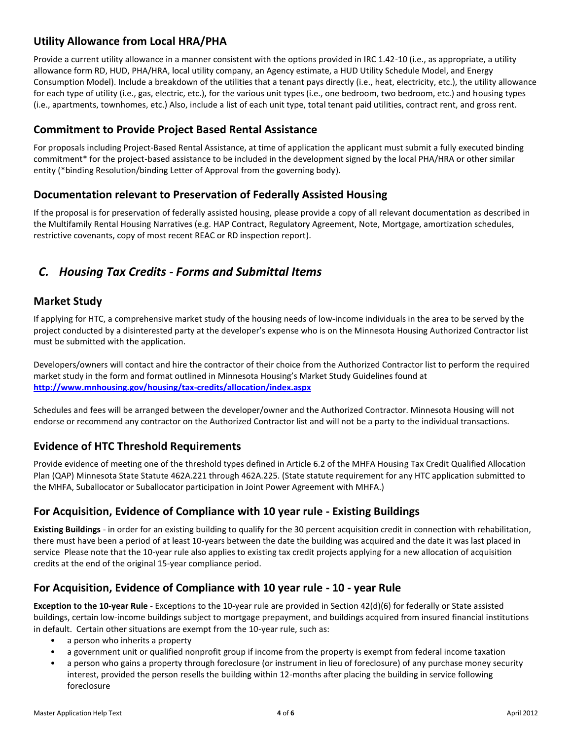# <span id="page-3-0"></span>**Utility Allowance from Local HRA/PHA**

Provide a current utility allowance in a manner consistent with the options provided in IRC 1.42-10 (i.e., as appropriate, a utility allowance form RD, HUD, PHA/HRA, local utility company, an Agency estimate, a HUD Utility Schedule Model, and Energy Consumption Model). Include a breakdown of the utilities that a tenant pays directly (i.e., heat, electricity, etc.), the utility allowance for each type of utility (i.e., gas, electric, etc.), for the various unit types (i.e., one bedroom, two bedroom, etc.) and housing types (i.e., apartments, townhomes, etc.) Also, include a list of each unit type, total tenant paid utilities, contract rent, and gross rent.

#### <span id="page-3-1"></span>**Commitment to Provide Project Based Rental Assistance**

For proposals including Project-Based Rental Assistance, at time of application the applicant must submit a fully executed binding commitment\* for the project-based assistance to be included in the development signed by the local PHA/HRA or other similar entity (\*binding Resolution/binding Letter of Approval from the governing body).

#### <span id="page-3-2"></span>**Documentation relevant to Preservation of Federally Assisted Housing**

If the proposal is for preservation of federally assisted housing, please provide a copy of all relevant documentation as described in the Multifamily Rental Housing Narratives (e.g. HAP Contract, Regulatory Agreement, Note, Mortgage, amortization schedules, restrictive covenants, copy of most recent REAC or RD inspection report).

# <span id="page-3-3"></span>*C. Housing Tax Credits - Forms and Submittal Items*

#### <span id="page-3-4"></span>**Market Study**

If applying for HTC, a comprehensive market study of the housing needs of low-income individuals in the area to be served by the project conducted by a disinterested party at the developer's expense who is on the Minnesota Housing Authorized Contractor list must be submitted with the application.

Developers/owners will contact and hire the contractor of their choice from the Authorized Contractor list to perform the required market study in the form and format outlined in Minnesota Housing's Market Study Guidelines found at **<http://www.mnhousing.gov/housing/tax-credits/allocation/index.aspx>**

Schedules and fees will be arranged between the developer/owner and the Authorized Contractor. Minnesota Housing will not endorse or recommend any contractor on the Authorized Contractor list and will not be a party to the individual transactions.

#### <span id="page-3-5"></span>**Evidence of HTC Threshold Requirements**

Provide evidence of meeting one of the threshold types defined in Article 6.2 of the MHFA Housing Tax Credit Qualified Allocation Plan (QAP) Minnesota State Statute 462A.221 through 462A.225. (State statute requirement for any HTC application submitted to the MHFA, Suballocator or Suballocator participation in Joint Power Agreement with MHFA.)

#### <span id="page-3-6"></span>**For Acquisition, Evidence of Compliance with 10 year rule - Existing Buildings**

**Existing Buildings** - in order for an existing building to qualify for the 30 percent acquisition credit in connection with rehabilitation, there must have been a period of at least 10-years between the date the building was acquired and the date it was last placed in service Please note that the 10-year rule also applies to existing tax credit projects applying for a new allocation of acquisition credits at the end of the original 15-year compliance period.

#### <span id="page-3-7"></span>**For Acquisition, Evidence of Compliance with 10 year rule - 10 - year Rule**

**Exception to the 10-year Rule** - Exceptions to the 10-year rule are provided in Section 42(d)(6) for federally or State assisted buildings, certain low-income buildings subject to mortgage prepayment, and buildings acquired from insured financial institutions in default. Certain other situations are exempt from the 10-year rule, such as:

- a person who inherits a property
- a government unit or qualified nonprofit group if income from the property is exempt from federal income taxation
- a person who gains a property through foreclosure (or instrument in lieu of foreclosure) of any purchase money security interest, provided the person resells the building within 12-months after placing the building in service following foreclosure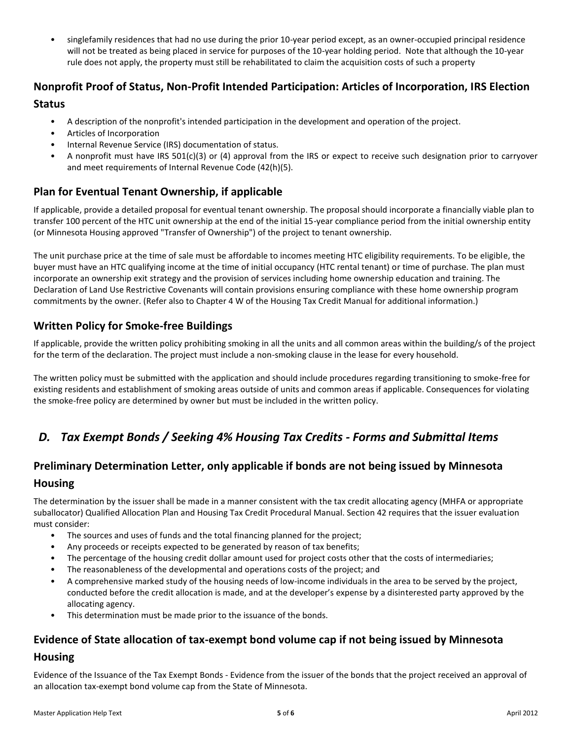• singlefamily residences that had no use during the prior 10-year period except, as an owner-occupied principal residence will not be treated as being placed in service for purposes of the 10-year holding period. Note that although the 10-year rule does not apply, the property must still be rehabilitated to claim the acquisition costs of such a property

### <span id="page-4-0"></span>**Nonprofit Proof of Status, Non-Profit Intended Participation: Articles of Incorporation, IRS Election Status**

- A description of the nonprofit's intended participation in the development and operation of the project.
- Articles of Incorporation
- Internal Revenue Service (IRS) documentation of status.
- A nonprofit must have IRS 501(c)(3) or (4) approval from the IRS or expect to receive such designation prior to carryover and meet requirements of Internal Revenue Code (42(h)(5).

#### <span id="page-4-1"></span>**Plan for Eventual Tenant Ownership, if applicable**

If applicable, provide a detailed proposal for eventual tenant ownership. The proposal should incorporate a financially viable plan to transfer 100 percent of the HTC unit ownership at the end of the initial 15-year compliance period from the initial ownership entity (or Minnesota Housing approved "Transfer of Ownership") of the project to tenant ownership.

The unit purchase price at the time of sale must be affordable to incomes meeting HTC eligibility requirements. To be eligible, the buyer must have an HTC qualifying income at the time of initial occupancy (HTC rental tenant) or time of purchase. The plan must incorporate an ownership exit strategy and the provision of services including home ownership education and training. The Declaration of Land Use Restrictive Covenants will contain provisions ensuring compliance with these home ownership program commitments by the owner. (Refer also to Chapter 4 W of the Housing Tax Credit Manual for additional information.)

#### <span id="page-4-2"></span>**Written Policy for Smoke-free Buildings**

If applicable, provide the written policy prohibiting smoking in all the units and all common areas within the building/s of the project for the term of the declaration. The project must include a non-smoking clause in the lease for every household.

The written policy must be submitted with the application and should include procedures regarding transitioning to smoke-free for existing residents and establishment of smoking areas outside of units and common areas if applicable. Consequences for violating the smoke-free policy are determined by owner but must be included in the written policy.

# <span id="page-4-3"></span>*D. Tax Exempt Bonds / Seeking 4% Housing Tax Credits - Forms and Submittal Items*

# <span id="page-4-4"></span>**Preliminary Determination Letter, only applicable if bonds are not being issued by Minnesota Housing**

The determination by the issuer shall be made in a manner consistent with the tax credit allocating agency (MHFA or appropriate suballocator) Qualified Allocation Plan and Housing Tax Credit Procedural Manual. Section 42 requires that the issuer evaluation must consider:

- The sources and uses of funds and the total financing planned for the project;
- Any proceeds or receipts expected to be generated by reason of tax benefits;
- The percentage of the housing credit dollar amount used for project costs other that the costs of intermediaries;
- The reasonableness of the developmental and operations costs of the project; and
- A comprehensive marked study of the housing needs of low-income individuals in the area to be served by the project, conducted before the credit allocation is made, and at the developer's expense by a disinterested party approved by the allocating agency.
- This determination must be made prior to the issuance of the bonds.

# <span id="page-4-5"></span>**Evidence of State allocation of tax-exempt bond volume cap if not being issued by Minnesota**

#### **Housing**

Evidence of the Issuance of the Tax Exempt Bonds - Evidence from the issuer of the bonds that the project received an approval of an allocation tax-exempt bond volume cap from the State of Minnesota.